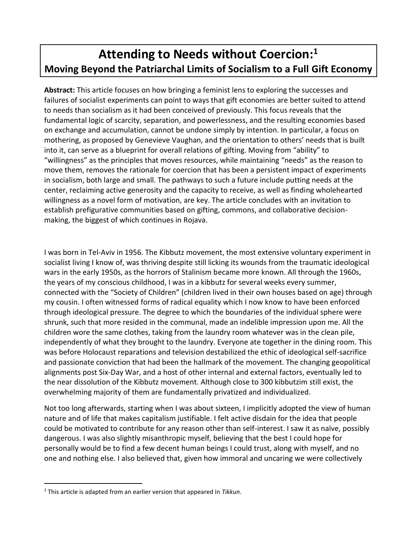# **Attending to Needs without Coercion:<sup>1</sup> Moving Beyond the Patriarchal Limits of Socialism to a Full Gift Economy**

**Abstract:** This article focuses on how bringing a feminist lens to exploring the successes and failures of socialist experiments can point to ways that gift economies are better suited to attend to needs than socialism as it had been conceived of previously. This focus reveals that the fundamental logic of scarcity, separation, and powerlessness, and the resulting economies based on exchange and accumulation, cannot be undone simply by intention. In particular, a focus on mothering, as proposed by Genevieve Vaughan, and the orientation to others' needs that is built into it, can serve as a blueprint for overall relations of gifting. Moving from "ability" to "willingness" as the principles that moves resources, while maintaining "needs" as the reason to move them, removes the rationale for coercion that has been a persistent impact of experiments in socialism, both large and small. The pathways to such a future include putting needs at the center, reclaiming active generosity and the capacity to receive, as well as finding wholehearted willingness as a novel form of motivation, are key. The article concludes with an invitation to establish prefigurative communities based on gifting, commons, and collaborative decisionmaking, the biggest of which continues in Rojava.

I was born in Tel-Aviv in 1956. The Kibbutz movement, the most extensive voluntary experiment in socialist living I know of, was thriving despite still licking its wounds from the traumatic ideological wars in the early 1950s, as the horrors of Stalinism became more known. All through the 1960s, the years of my conscious childhood, I was in a kibbutz for several weeks every summer, connected with the "Society of Children" (children lived in their own houses based on age) through my cousin. I often witnessed forms of radical equality which I now know to have been enforced through ideological pressure. The degree to which the boundaries of the individual sphere were shrunk, such that more resided in the communal, made an indelible impression upon me. All the children wore the same clothes, taking from the laundry room whatever was in the clean pile, independently of what they brought to the laundry. Everyone ate together in the dining room. This was before Holocaust reparations and television destabilized the ethic of ideological self-sacrifice and passionate conviction that had been the hallmark of the movement. The changing geopolitical alignments post Six-Day War, and a host of other internal and external factors, eventually led to the near dissolution of the Kibbutz movement. Although close to 300 kibbutzim still exist, the overwhelming majority of them are fundamentally privatized and individualized.

Not too long afterwards, starting when I was about sixteen, I implicitly adopted the view of human nature and of life that makes capitalism justifiable. I felt active disdain for the idea that people could be motivated to contribute for any reason other than self-interest. I saw it as naïve, possibly dangerous. I was also slightly misanthropic myself, believing that the best I could hope for personally would be to find a few decent human beings I could trust, along with myself, and no one and nothing else. I also believed that, given how immoral and uncaring we were collectively

<sup>1</sup> This article is adapted from an earlier version that appeared in *Tikkun*.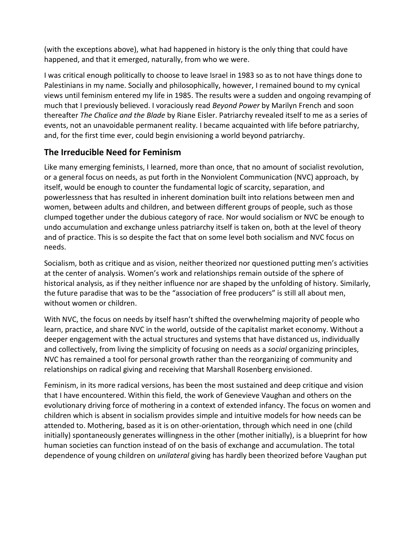(with the exceptions above), what had happened in history is the only thing that could have happened, and that it emerged, naturally, from who we were.

I was critical enough politically to choose to leave Israel in 1983 so as to not have things done to Palestinians in my name. Socially and philosophically, however, I remained bound to my cynical views until feminism entered my life in 1985. The results were a sudden and ongoing revamping of much that I previously believed. I voraciously read *Beyond Power* by Marilyn French and soon thereafter *The Chalice and the Blade* by Riane Eisler. Patriarchy revealed itself to me as a series of events, not an unavoidable permanent reality. I became acquainted with life before patriarchy, and, for the first time ever, could begin envisioning a world beyond patriarchy.

#### **The Irreducible Need for Feminism**

Like many emerging feminists, I learned, more than once, that no amount of socialist revolution, or a general focus on needs, as put forth in the Nonviolent Communication (NVC) approach, by itself, would be enough to counter the fundamental logic of scarcity, separation, and powerlessness that has resulted in inherent domination built into relations between men and women, between adults and children, and between different groups of people, such as those clumped together under the dubious category of race. Nor would socialism or NVC be enough to undo accumulation and exchange unless patriarchy itself is taken on, both at the level of theory and of practice. This is so despite the fact that on some level both socialism and NVC focus on needs.

Socialism, both as critique and as vision, neither theorized nor questioned putting men's activities at the center of analysis. Women's work and relationships remain outside of the sphere of historical analysis, as if they neither influence nor are shaped by the unfolding of history. Similarly, the future paradise that was to be the "association of free producers" is still all about men, without women or children.

With NVC, the focus on needs by itself hasn't shifted the overwhelming majority of people who learn, practice, and share NVC in the world, outside of the capitalist market economy. Without a deeper engagement with the actual structures and systems that have distanced us, individually and collectively, from living the simplicity of focusing on needs as a *social* organizing principles, NVC has remained a tool for personal growth rather than the reorganizing of community and relationships on radical giving and receiving that Marshall Rosenberg envisioned.

Feminism, in its more radical versions, has been the most sustained and deep critique and vision that I have encountered. Within this field, the work of Genevieve Vaughan and others on the evolutionary driving force of mothering in a context of extended infancy. The focus on women and children which is absent in socialism provides simple and intuitive models for how needs can be attended to. Mothering, based as it is on other-orientation, through which need in one (child initially) spontaneously generates willingness in the other (mother initially), is a blueprint for how human societies can function instead of on the basis of exchange and accumulation. The total dependence of young children on *unilateral* giving has hardly been theorized before Vaughan put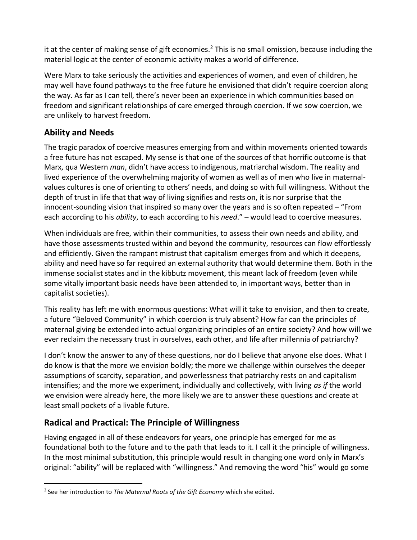it at the center of making sense of gift economies.<sup>2</sup> This is no small omission, because including the material logic at the center of economic activity makes a world of difference.

Were Marx to take seriously the activities and experiences of women, and even of children, he may well have found pathways to the free future he envisioned that didn't require coercion along the way. As far as I can tell, there's never been an experience in which communities based on freedom and significant relationships of care emerged through coercion. If we sow coercion, we are unlikely to harvest freedom.

## **Ability and Needs**

The tragic paradox of coercive measures emerging from and within movements oriented towards a free future has not escaped. My sense is that one of the sources of that horrific outcome is that Marx, qua Western *man*, didn't have access to indigenous, matriarchal wisdom. The reality and lived experience of the overwhelming majority of women as well as of men who live in maternalvalues cultures is one of orienting to others' needs, and doing so with full willingness. Without the depth of trust in life that that way of living signifies and rests on, it is nor surprise that the innocent-sounding vision that inspired so many over the years and is so often repeated – "From each according to his *ability*, to each according to his *need*." – would lead to coercive measures.

When individuals are free, within their communities, to assess their own needs and ability, and have those assessments trusted within and beyond the community, resources can flow effortlessly and efficiently. Given the rampant mistrust that capitalism emerges from and which it deepens, ability and need have so far required an external authority that would determine them. Both in the immense socialist states and in the kibbutz movement, this meant lack of freedom (even while some vitally important basic needs have been attended to, in important ways, better than in capitalist societies).

This reality has left me with enormous questions: What will it take to envision, and then to create, a future "Beloved Community" in which coercion is truly absent? How far can the principles of maternal giving be extended into actual organizing principles of an entire society? And how will we ever reclaim the necessary trust in ourselves, each other, and life after millennia of patriarchy?

I don't know the answer to any of these questions, nor do I believe that anyone else does. What I do know is that the more we envision boldly; the more we challenge within ourselves the deeper assumptions of scarcity, separation, and powerlessness that patriarchy rests on and capitalism intensifies; and the more we experiment, individually and collectively, with living *as if* the world we envision were already here, the more likely we are to answer these questions and create at least small pockets of a livable future.

## **Radical and Practical: The Principle of Willingness**

Having engaged in all of these endeavors for years, one principle has emerged for me as foundational both to the future and to the path that leads to it. I call it the principle of willingness. In the most minimal substitution, this principle would result in changing one word only in Marx's original: "ability" will be replaced with "willingness." And removing the word "his" would go some

<sup>2</sup> See her introduction to *The Maternal Roots of the Gift Economy* which she edited.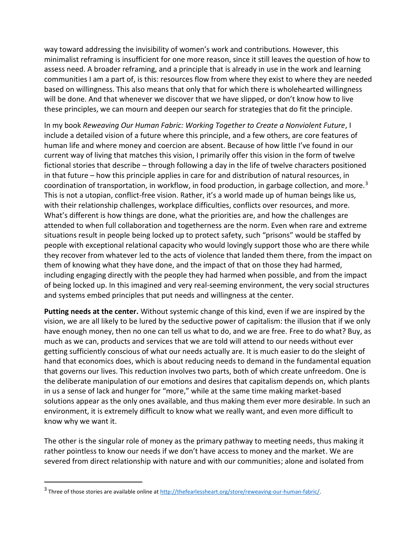way toward addressing the invisibility of women's work and contributions. However, this minimalist reframing is insufficient for one more reason, since it still leaves the question of how to assess need. A broader reframing, and a principle that is already in use in the work and learning communities I am a part of, is this: resources flow from where they exist to where they are needed based on willingness. This also means that only that for which there is wholehearted willingness will be done. And that whenever we discover that we have slipped, or don't know how to live these principles, we can mourn and deepen our search for strategies that do fit the principle.

In my book *Reweaving Our Human Fabric: Working Together to Create a Nonviolent Future*, I include a detailed vision of a future where this principle, and a few others, are core features of human life and where money and coercion are absent. Because of how little I've found in our current way of living that matches this vision, I primarily offer this vision in the form of twelve fictional stories that describe – through following a day in the life of twelve characters positioned in that future – how this principle applies in care for and distribution of natural resources, in coordination of transportation, in workflow, in food production, in garbage collection, and more.<sup>3</sup> This is not a utopian, conflict-free vision. Rather, it's a world made up of human beings like us, with their relationship challenges, workplace difficulties, conflicts over resources, and more. What's different is how things are done, what the priorities are, and how the challenges are attended to when full collaboration and togetherness are the norm. Even when rare and extreme situations result in people being locked up to protect safety, such "prisons" would be staffed by people with exceptional relational capacity who would lovingly support those who are there while they recover from whatever led to the acts of violence that landed them there, from the impact on them of knowing what they have done, and the impact of that on those they had harmed, including engaging directly with the people they had harmed when possible, and from the impact of being locked up. In this imagined and very real-seeming environment, the very social structures and systems embed principles that put needs and willingness at the center.

**Putting needs at the center.** Without systemic change of this kind, even if we are inspired by the vision, we are all likely to be lured by the seductive power of capitalism: the illusion that if we only have enough money, then no one can tell us what to do, and we are free. Free to do what? Buy, as much as we can, products and services that we are told will attend to our needs without ever getting sufficiently conscious of what our needs actually are. It is much easier to do the sleight of hand that economics does, which is about reducing needs to demand in the fundamental equation that governs our lives. This reduction involves two parts, both of which create unfreedom. One is the deliberate manipulation of our emotions and desires that capitalism depends on, which plants in us a sense of lack and hunger for "more," while at the same time making market-based solutions appear as the only ones available, and thus making them ever more desirable. In such an environment, it is extremely difficult to know what we really want, and even more difficult to know why we want it.

The other is the singular role of money as the primary pathway to meeting needs, thus making it rather pointless to know our needs if we don't have access to money and the market. We are severed from direct relationship with nature and with our communities; alone and isolated from

<sup>&</sup>lt;sup>3</sup> Three of those stories are available online at http://thefearlessheart.org/store/reweaving-our-human-fabric/.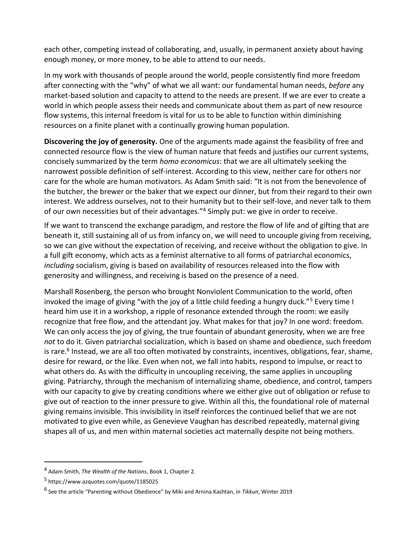each other, competing instead of collaborating, and, usually, in permanent anxiety about having enough money, or more money, to be able to attend to our needs.

In my work with thousands of people around the world, people consistently find more freedom after connecting with the "why" of what we all want: our fundamental human needs, *before* any market-based solution and capacity to attend to the needs are present. If we are ever to create a world in which people assess their needs and communicate about them as part of new resource flow systems, this internal freedom is vital for us to be able to function within diminishing resources on a finite planet with a continually growing human population.

**Discovering the joy of generosity.** One of the arguments made against the feasibility of free and connected resource flow is the view of human nature that feeds and justifies our current systems, concisely summarized by the term *homo economicus*: that we are all ultimately seeking the narrowest possible definition of self-interest. According to this view, neither care for others nor care for the whole are human motivators. As Adam Smith said: "It is not from the benevolence of the butcher, the brewer or the baker that we expect our dinner, but from their regard to their own interest. We address ourselves, not to their humanity but to their self-love, and never talk to them of our own necessities but of their advantages."<sup>4</sup> Simply put: we give in order to receive.

If we want to transcend the exchange paradigm, and restore the flow of life and of gifting that are beneath it, still sustaining all of us from infancy on, we will need to uncouple giving from receiving, so we can give without the expectation of receiving, and receive without the obligation to give. In a full gift economy, which acts as a feminist alternative to all forms of patriarchal economics, *including* socialism, giving is based on availability of resources released into the flow with generosity and willingness, and receiving is based on the presence of a need.

Marshall Rosenberg, the person who brought Nonviolent Communication to the world, often invoked the image of giving "with the joy of a little child feeding a hungry duck."<sup>5</sup> Every time I heard him use it in a workshop, a ripple of resonance extended through the room: we easily recognize that free flow, and the attendant joy. What makes for that joy? In one word: freedom. We can only access the joy of giving, the true fountain of abundant generosity, when we are free *not* to do it. Given patriarchal socialization, which is based on shame and obedience, such freedom is rare.<sup>6</sup> Instead, we are all too often motivated by constraints, incentives, obligations, fear, shame, desire for reward, or the like. Even when not, we fall into habits, respond to impulse, or react to what others do. As with the difficulty in uncoupling receiving, the same applies in uncoupling giving. Patriarchy, through the mechanism of internalizing shame, obedience, and control, tampers with our capacity to give by creating conditions where we either give out of obligation or refuse to give out of reaction to the inner pressure to give. Within all this, the foundational role of maternal giving remains invisible. This invisibility in itself reinforces the continued belief that we are not motivated to give even while, as Genevieve Vaughan has described repeatedly, maternal giving shapes all of us, and men within maternal societies act maternally despite not being mothers.

<sup>4</sup> Adam Smith, *The Wealth of the Nations*, Book 1, Chapter 2.

<sup>5</sup> https://www.azquotes.com/quote/1185025

<sup>6</sup> See the article "Parenting without Obedience" by Miki and Arnina Kashtan, in *Tikkun*, Winter 2019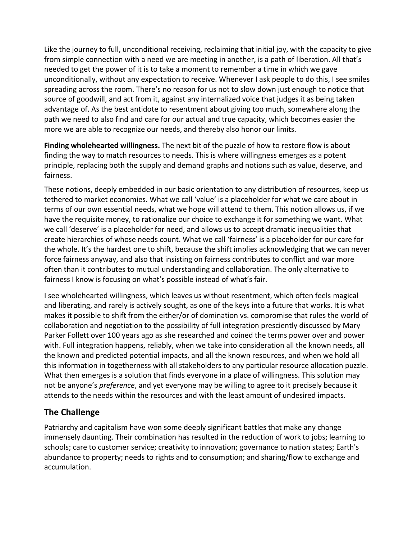Like the journey to full, unconditional receiving, reclaiming that initial joy, with the capacity to give from simple connection with a need we are meeting in another, is a path of liberation. All that's needed to get the power of it is to take a moment to remember a time in which we gave unconditionally, without any expectation to receive. Whenever I ask people to do this, I see smiles spreading across the room. There's no reason for us not to slow down just enough to notice that source of goodwill, and act from it, against any internalized voice that judges it as being taken advantage of. As the best antidote to resentment about giving too much, somewhere along the path we need to also find and care for our actual and true capacity, which becomes easier the more we are able to recognize our needs, and thereby also honor our limits.

**Finding wholehearted willingness.** The next bit of the puzzle of how to restore flow is about finding the way to match resources to needs. This is where willingness emerges as a potent principle, replacing both the supply and demand graphs and notions such as value, deserve, and fairness.

These notions, deeply embedded in our basic orientation to any distribution of resources, keep us tethered to market economies. What we call 'value' is a placeholder for what we care about in terms of our own essential needs, what we hope will attend to them. This notion allows us, if we have the requisite money, to rationalize our choice to exchange it for something we want. What we call 'deserve' is a placeholder for need, and allows us to accept dramatic inequalities that create hierarchies of whose needs count. What we call 'fairness' is a placeholder for our care for the whole. It's the hardest one to shift, because the shift implies acknowledging that we can never force fairness anyway, and also that insisting on fairness contributes to conflict and war more often than it contributes to mutual understanding and collaboration. The only alternative to fairness I know is focusing on what's possible instead of what's fair.

I see wholehearted willingness, which leaves us without resentment, which often feels magical and liberating, and rarely is actively sought, as one of the keys into a future that works. It is what makes it possible to shift from the either/or of domination vs. compromise that rules the world of collaboration and negotiation to the possibility of full integration presciently discussed by Mary Parker Follett over 100 years ago as she researched and coined the terms power over and power with. Full integration happens, reliably, when we take into consideration all the known needs, all the known and predicted potential impacts, and all the known resources, and when we hold all this information in togetherness with all stakeholders to any particular resource allocation puzzle. What then emerges is a solution that finds everyone in a place of willingness. This solution may not be anyone's *preference*, and yet everyone may be willing to agree to it precisely because it attends to the needs within the resources and with the least amount of undesired impacts.

#### **The Challenge**

Patriarchy and capitalism have won some deeply significant battles that make any change immensely daunting. Their combination has resulted in the reduction of work to jobs; learning to schools; care to customer service; creativity to innovation; governance to nation states; Earth's abundance to property; needs to rights and to consumption; and sharing/flow to exchange and accumulation.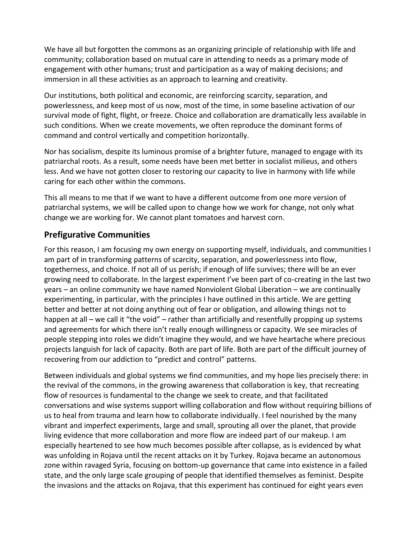We have all but forgotten the commons as an organizing principle of relationship with life and community; collaboration based on mutual care in attending to needs as a primary mode of engagement with other humans; trust and participation as a way of making decisions; and immersion in all these activities as an approach to learning and creativity.

Our institutions, both political and economic, are reinforcing scarcity, separation, and powerlessness, and keep most of us now, most of the time, in some baseline activation of our survival mode of fight, flight, or freeze. Choice and collaboration are dramatically less available in such conditions. When we create movements, we often reproduce the dominant forms of command and control vertically and competition horizontally.

Nor has socialism, despite its luminous promise of a brighter future, managed to engage with its patriarchal roots. As a result, some needs have been met better in socialist milieus, and others less. And we have not gotten closer to restoring our capacity to live in harmony with life while caring for each other within the commons.

This all means to me that if we want to have a different outcome from one more version of patriarchal systems, we will be called upon to change how we work for change, not only what change we are working for. We cannot plant tomatoes and harvest corn.

### **Prefigurative Communities**

For this reason, I am focusing my own energy on supporting myself, individuals, and communities I am part of in transforming patterns of scarcity, separation, and powerlessness into flow, togetherness, and choice. If not all of us perish; if enough of life survives; there will be an ever growing need to collaborate. In the largest experiment I've been part of co-creating in the last two years – an online community we have named Nonviolent Global Liberation – we are continually experimenting, in particular, with the principles I have outlined in this article. We are getting better and better at not doing anything out of fear or obligation, and allowing things not to happen at all – we call it "the void" – rather than artificially and resentfully propping up systems and agreements for which there isn't really enough willingness or capacity. We see miracles of people stepping into roles we didn't imagine they would, and we have heartache where precious projects languish for lack of capacity. Both are part of life. Both are part of the difficult journey of recovering from our addiction to "predict and control" patterns.

Between individuals and global systems we find communities, and my hope lies precisely there: in the revival of the commons, in the growing awareness that collaboration is key, that recreating flow of resources is fundamental to the change we seek to create, and that facilitated conversations and wise systems support willing collaboration and flow without requiring billions of us to heal from trauma and learn how to collaborate individually. I feel nourished by the many vibrant and imperfect experiments, large and small, sprouting all over the planet, that provide living evidence that more collaboration and more flow are indeed part of our makeup. I am especially heartened to see how much becomes possible after collapse, as is evidenced by what was unfolding in Rojava until the recent attacks on it by Turkey. Rojava became an autonomous zone within ravaged Syria, focusing on bottom-up governance that came into existence in a failed state, and the only large scale grouping of people that identified themselves as feminist. Despite the invasions and the attacks on Rojava, that this experiment has continued for eight years even